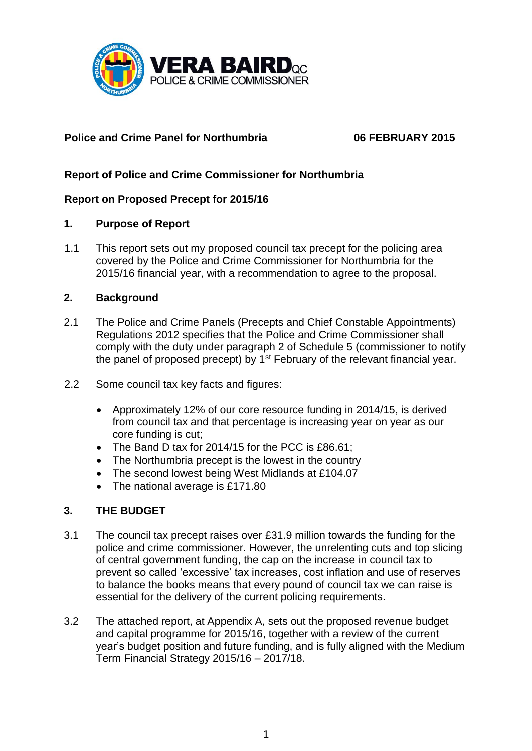

## **Police and Crime Panel for Northumbria 06 FEBRUARY 2015**

# **Report of Police and Crime Commissioner for Northumbria**

## **Report on Proposed Precept for 2015/16**

### **1. Purpose of Report**

1.1 This report sets out my proposed council tax precept for the policing area covered by the Police and Crime Commissioner for Northumbria for the 2015/16 financial year, with a recommendation to agree to the proposal.

### **2. Background**

- 2.1 The Police and Crime Panels (Precepts and Chief Constable Appointments) Regulations 2012 specifies that the Police and Crime Commissioner shall comply with the duty under paragraph 2 of Schedule 5 (commissioner to notify the panel of proposed precept) by  $1<sup>st</sup>$  February of the relevant financial year.
- 2.2 Some council tax key facts and figures:
	- Approximately 12% of our core resource funding in 2014/15, is derived from council tax and that percentage is increasing year on year as our core funding is cut;
	- The Band D tax for 2014/15 for the PCC is £86.61;
	- The Northumbria precept is the lowest in the country
	- The second lowest being West Midlands at £104.07
	- The national average is £171.80

## **3. THE BUDGET**

- 3.1 The council tax precept raises over £31.9 million towards the funding for the police and crime commissioner. However, the unrelenting cuts and top slicing of central government funding, the cap on the increase in council tax to prevent so called 'excessive' tax increases, cost inflation and use of reserves to balance the books means that every pound of council tax we can raise is essential for the delivery of the current policing requirements.
- 3.2 The attached report, at Appendix A, sets out the proposed revenue budget and capital programme for 2015/16, together with a review of the current year's budget position and future funding, and is fully aligned with the Medium Term Financial Strategy 2015/16 – 2017/18.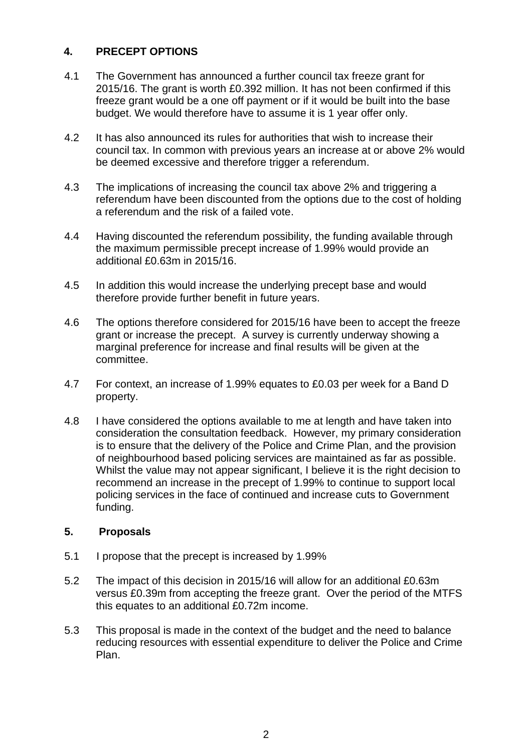## **4. PRECEPT OPTIONS**

- 4.1 The Government has announced a further council tax freeze grant for 2015/16. The grant is worth £0.392 million. It has not been confirmed if this freeze grant would be a one off payment or if it would be built into the base budget. We would therefore have to assume it is 1 year offer only.
- 4.2 It has also announced its rules for authorities that wish to increase their council tax. In common with previous years an increase at or above 2% would be deemed excessive and therefore trigger a referendum.
- 4.3 The implications of increasing the council tax above 2% and triggering a referendum have been discounted from the options due to the cost of holding a referendum and the risk of a failed vote.
- 4.4 Having discounted the referendum possibility, the funding available through the maximum permissible precept increase of 1.99% would provide an additional £0.63m in 2015/16.
- 4.5 In addition this would increase the underlying precept base and would therefore provide further benefit in future years.
- 4.6 The options therefore considered for 2015/16 have been to accept the freeze grant or increase the precept. A survey is currently underway showing a marginal preference for increase and final results will be given at the committee.
- 4.7 For context, an increase of 1.99% equates to £0.03 per week for a Band D property.
- 4.8 I have considered the options available to me at length and have taken into consideration the consultation feedback. However, my primary consideration is to ensure that the delivery of the Police and Crime Plan, and the provision of neighbourhood based policing services are maintained as far as possible. Whilst the value may not appear significant, I believe it is the right decision to recommend an increase in the precept of 1.99% to continue to support local policing services in the face of continued and increase cuts to Government funding.

## **5. Proposals**

- 5.1 I propose that the precept is increased by 1.99%
- 5.2 The impact of this decision in 2015/16 will allow for an additional £0.63m versus £0.39m from accepting the freeze grant. Over the period of the MTFS this equates to an additional £0.72m income.
- 5.3 This proposal is made in the context of the budget and the need to balance reducing resources with essential expenditure to deliver the Police and Crime Plan.